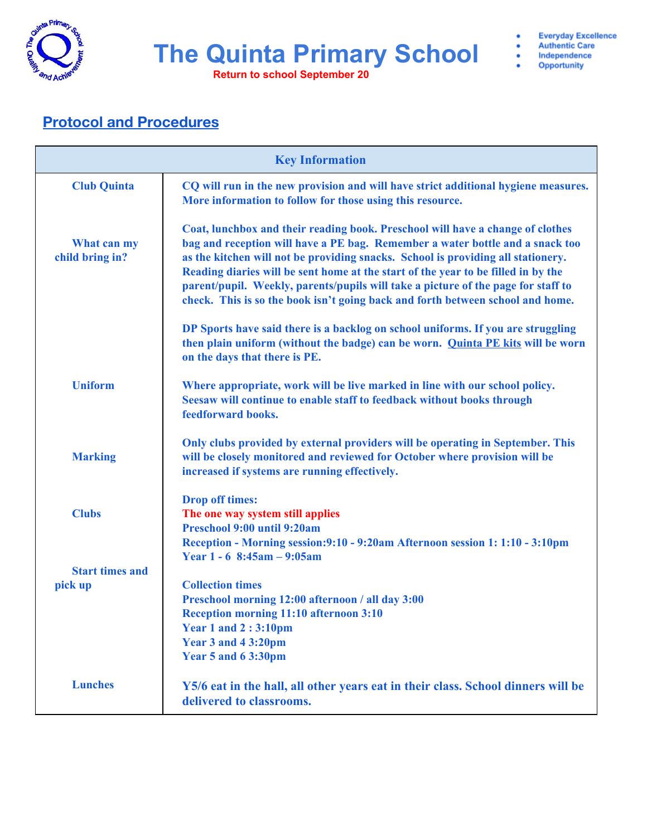

**Return to school September 20**

- **Authentic Care** Independence
- 5 Opportunity

٠

### **Protocol and Procedures**

|                                   | <b>Key Information</b> $\frac{1}{\sqrt{2}}$                                                                                                                                                                                                                                                                                                                                                                                                                                                                     |
|-----------------------------------|-----------------------------------------------------------------------------------------------------------------------------------------------------------------------------------------------------------------------------------------------------------------------------------------------------------------------------------------------------------------------------------------------------------------------------------------------------------------------------------------------------------------|
| <b>Club Quinta</b>                | CQ will run in the new provision and will have strict additional hygiene measures.<br>More information to follow for those using this resource.                                                                                                                                                                                                                                                                                                                                                                 |
| What can my<br>child bring in?    | Coat, lunchbox and their reading book. Preschool will have a change of clothes<br>bag and reception will have a PE bag. Remember a water bottle and a snack too<br>as the kitchen will not be providing snacks. School is providing all stationery.<br>Reading diaries will be sent home at the start of the year to be filled in by the<br>parent/pupil. Weekly, parents/pupils will take a picture of the page for staff to<br>check. This is so the book isn't going back and forth between school and home. |
|                                   | DP Sports have said there is a backlog on school uniforms. If you are struggling<br>then plain uniform (without the badge) can be worn. Quinta PE kits will be worn<br>on the days that there is PE.                                                                                                                                                                                                                                                                                                            |
| <b>Uniform</b>                    | Where appropriate, work will be live marked in line with our school policy.<br>Seesaw will continue to enable staff to feedback without books through<br>feedforward books.                                                                                                                                                                                                                                                                                                                                     |
| <b>Marking</b>                    | Only clubs provided by external providers will be operating in September. This<br>will be closely monitored and reviewed for October where provision will be<br>increased if systems are running effectively.                                                                                                                                                                                                                                                                                                   |
| <b>Clubs</b>                      | <b>Drop off times:</b><br>The one way system still applies<br>Preschool 9:00 until 9:20am<br>Reception - Morning session: 9:10 - 9:20am Afternoon session 1: 1:10 - 3:10pm                                                                                                                                                                                                                                                                                                                                      |
| <b>Start times and</b><br>pick up | Year $1 - 6$ 8:45am $- 9:05$ am<br><b>Collection times</b><br>Preschool morning 12:00 afternoon / all day 3:00<br><b>Reception morning 11:10 afternoon 3:10</b><br><b>Year 1 and 2:3:10pm</b><br>Year 3 and 4 3:20pm<br>Year 5 and 6 3:30pm                                                                                                                                                                                                                                                                     |
| <b>Lunches</b>                    | Y5/6 eat in the hall, all other years eat in their class. School dinners will be<br>delivered to classrooms.                                                                                                                                                                                                                                                                                                                                                                                                    |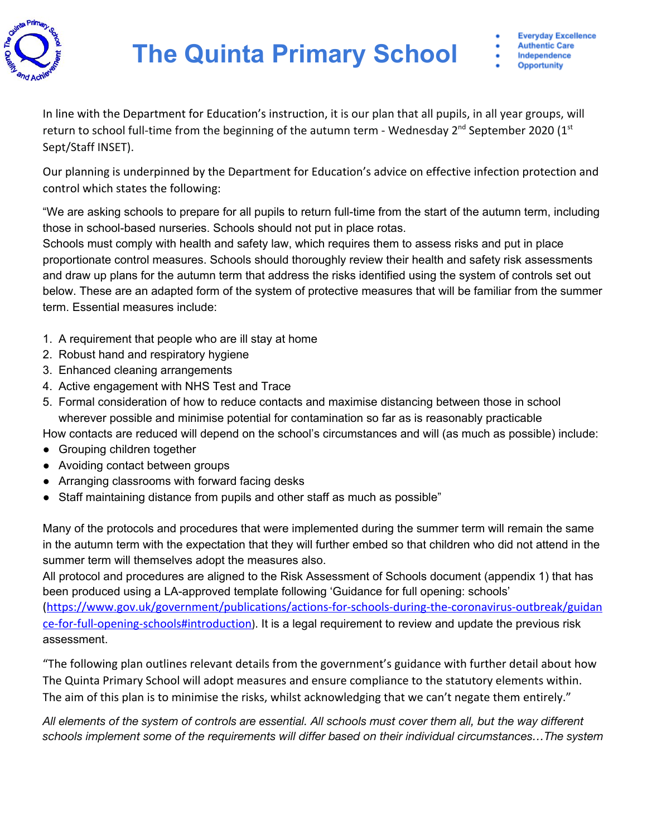

In line with the Department for Education's instruction, it is our plan that all pupils, in all year groups, will return to school full-time from the beginning of the autumn term - Wednesday 2<sup>nd</sup> September 2020 (1st Sept/Staff INSET).

Our planning is underpinned by the Department for Education's advice on effective infection protection and control which states the following:

"We are asking schools to prepare for all pupils to return full-time from the start of the autumn term, including those in school-based nurseries. Schools should not put in place rotas.

Schools must comply with health and safety law, which requires them to assess risks and put in place proportionate control measures. Schools should thoroughly review their health and safety risk assessments and draw up plans for the autumn term that address the risks identified using the system of controls set out below. These are an adapted form of the system of protective measures that will be familiar from the summer term. Essential measures include:

- 1. A requirement that people who are ill stay at home
- 2. Robust hand and respiratory hygiene
- 3. Enhanced cleaning arrangements
- 4. Active engagement with NHS Test and Trace
- 5. Formal consideration of how to reduce contacts and maximise distancing between those in school wherever possible and minimise potential for contamination so far as is reasonably practicable

How contacts are reduced will depend on the school's circumstances and will (as much as possible) include:

- Grouping children together
- Avoiding contact between groups
- Arranging classrooms with forward facing desks
- Staff maintaining distance from pupils and other staff as much as possible"

Many of the protocols and procedures that were implemented during the summer term will remain the same in the autumn term with the expectation that they will further embed so that children who did not attend in the summer term will themselves adopt the measures also.

All protocol and procedures are aligned to the Risk Assessment of Schools document (appendix 1) that has been produced using a LA-approved template following 'Guidance for full opening: schools' [\(https://www.gov.uk/government/publications/actions-for-schools-during-the-coronavirus-outbreak/guidan](https://www.gov.uk/government/publications/actions-for-schools-during-the-coronavirus-outbreak/guidance-for-full-opening-schools#introduction) [ce-for-full-opening-schools#introduction](https://www.gov.uk/government/publications/actions-for-schools-during-the-coronavirus-outbreak/guidance-for-full-opening-schools#introduction)). It is a legal requirement to review and update the previous risk assessment.

"The following plan outlines relevant details from the government's guidance with further detail about how The Quinta Primary School will adopt measures and ensure compliance to the statutory elements within. The aim of this plan is to minimise the risks, whilst acknowledging that we can't negate them entirely."

All elements of the system of controls are essential. All schools must cover them all, but the way different *schools implement some of the requirements will differ based on their individual circumstances…The system*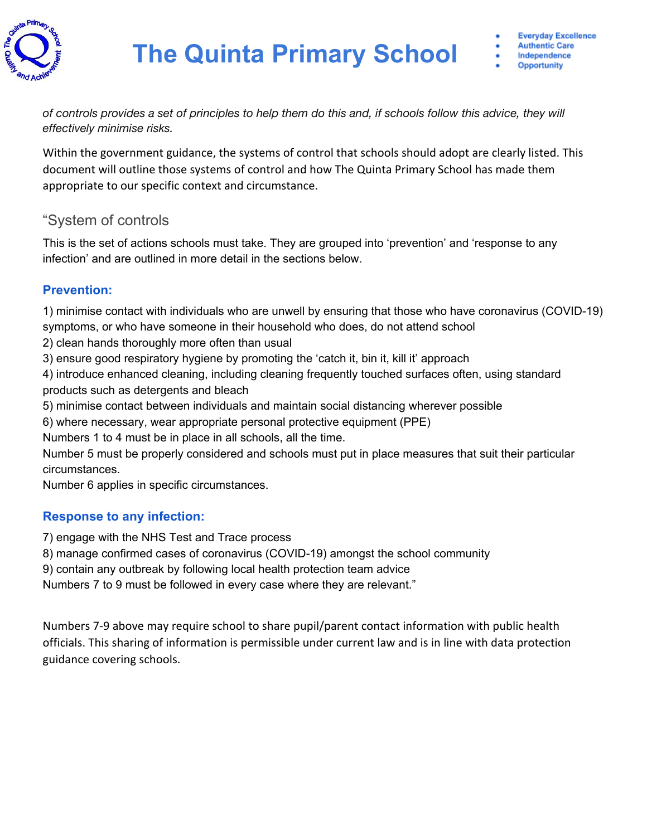

of controls provides a set of principles to help them do this and, if schools follow this advice, they will *effectively minimise risks.*

Within the government guidance, the systems of control that schools should adopt are clearly listed. This document will outline those systems of control and how The Quinta Primary School has made them appropriate to our specific context and circumstance.

### "System of controls

This is the set of actions schools must take. They are grouped into 'prevention' and 'response to any infection' and are outlined in more detail in the sections below.

### **Prevention:**

1) minimise contact with individuals who are unwell by ensuring that those who have coronavirus (COVID-19) symptoms, or who have someone in their household who does, do not attend school

- 2) clean hands thoroughly more often than usual
- 3) ensure good respiratory hygiene by promoting the 'catch it, bin it, kill it' approach

4) introduce enhanced cleaning, including cleaning frequently touched surfaces often, using standard products such as detergents and bleach

- 5) minimise contact between individuals and maintain social distancing wherever possible
- 6) where necessary, wear appropriate personal protective equipment (PPE)

Numbers 1 to 4 must be in place in all schools, all the time.

Number 5 must be properly considered and schools must put in place measures that suit their particular circumstances.

Number 6 applies in specific circumstances.

### **Response to any infection:**

7) engage with the NHS Test and Trace process

8) manage confirmed cases of coronavirus (COVID-19) amongst the school community

9) contain any outbreak by following local health protection team advice

Numbers 7 to 9 must be followed in every case where they are relevant."

Numbers 7-9 above may require school to share pupil/parent contact information with public health officials. This sharing of information is permissible under current law and is in line with data protection guidance covering schools.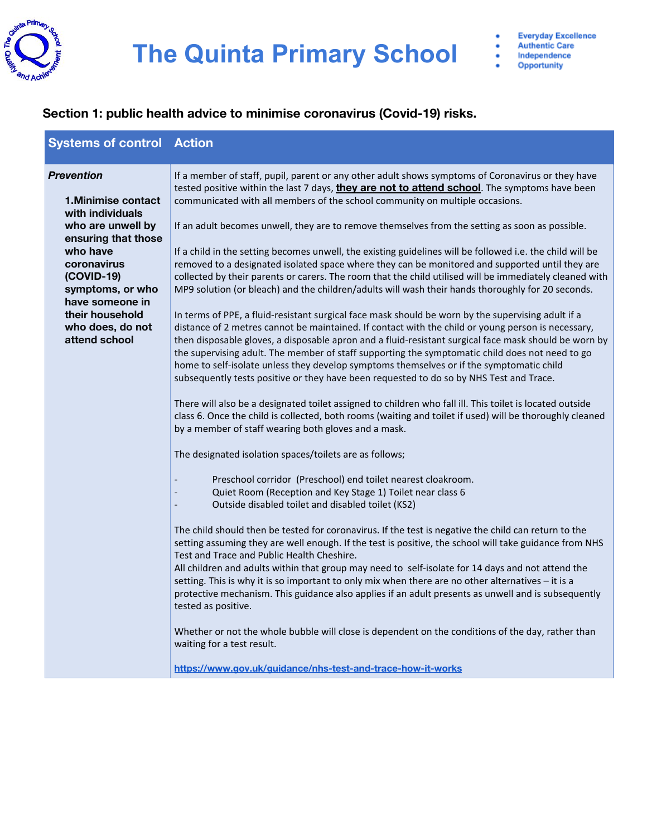

 $\ddot{\cdot}$ 

#### **Section 1: public health advice to minimise coronavirus (Covid-19) risks.**

| <b>Systems of control Action</b>                                                                                                                                                                                                                       |                                                                                                                                                                                                                                                                                                                                                                                                                                                                                                                                                                                                                                                                                                                                                                                                                                                                                                                                                                                                                                                                                                                                                                                                                                                                                                                                                                                                                                                                                                                                                                                                                                                                                                                                                                                                                                                 |
|--------------------------------------------------------------------------------------------------------------------------------------------------------------------------------------------------------------------------------------------------------|-------------------------------------------------------------------------------------------------------------------------------------------------------------------------------------------------------------------------------------------------------------------------------------------------------------------------------------------------------------------------------------------------------------------------------------------------------------------------------------------------------------------------------------------------------------------------------------------------------------------------------------------------------------------------------------------------------------------------------------------------------------------------------------------------------------------------------------------------------------------------------------------------------------------------------------------------------------------------------------------------------------------------------------------------------------------------------------------------------------------------------------------------------------------------------------------------------------------------------------------------------------------------------------------------------------------------------------------------------------------------------------------------------------------------------------------------------------------------------------------------------------------------------------------------------------------------------------------------------------------------------------------------------------------------------------------------------------------------------------------------------------------------------------------------------------------------------------------------|
| <b>Prevention</b><br><b>1.Minimise contact</b><br>with individuals<br>who are unwell by<br>ensuring that those<br>who have<br>coronavirus<br>(COVID-19)<br>symptoms, or who<br>have someone in<br>their household<br>who does, do not<br>attend school | If a member of staff, pupil, parent or any other adult shows symptoms of Coronavirus or they have<br>tested positive within the last 7 days, they are not to attend school. The symptoms have been<br>communicated with all members of the school community on multiple occasions.<br>If an adult becomes unwell, they are to remove themselves from the setting as soon as possible.<br>If a child in the setting becomes unwell, the existing guidelines will be followed i.e. the child will be<br>removed to a designated isolated space where they can be monitored and supported until they are<br>collected by their parents or carers. The room that the child utilised will be immediately cleaned with<br>MP9 solution (or bleach) and the children/adults will wash their hands thoroughly for 20 seconds.<br>In terms of PPE, a fluid-resistant surgical face mask should be worn by the supervising adult if a<br>distance of 2 metres cannot be maintained. If contact with the child or young person is necessary,<br>then disposable gloves, a disposable apron and a fluid-resistant surgical face mask should be worn by<br>the supervising adult. The member of staff supporting the symptomatic child does not need to go<br>home to self-isolate unless they develop symptoms themselves or if the symptomatic child<br>subsequently tests positive or they have been requested to do so by NHS Test and Trace.<br>There will also be a designated toilet assigned to children who fall ill. This toilet is located outside<br>class 6. Once the child is collected, both rooms (waiting and toilet if used) will be thoroughly cleaned<br>by a member of staff wearing both gloves and a mask.<br>The designated isolation spaces/toilets are as follows;<br>Preschool corridor (Preschool) end toilet nearest cloakroom. |
|                                                                                                                                                                                                                                                        | Quiet Room (Reception and Key Stage 1) Toilet near class 6<br>$\overline{\phantom{a}}$<br>Outside disabled toilet and disabled toilet (KS2)<br>$\overline{\phantom{a}}$                                                                                                                                                                                                                                                                                                                                                                                                                                                                                                                                                                                                                                                                                                                                                                                                                                                                                                                                                                                                                                                                                                                                                                                                                                                                                                                                                                                                                                                                                                                                                                                                                                                                         |
|                                                                                                                                                                                                                                                        | The child should then be tested for coronavirus. If the test is negative the child can return to the<br>setting assuming they are well enough. If the test is positive, the school will take guidance from NHS<br>Test and Trace and Public Health Cheshire.<br>All children and adults within that group may need to self-isolate for 14 days and not attend the<br>setting. This is why it is so important to only mix when there are no other alternatives - it is a<br>protective mechanism. This guidance also applies if an adult presents as unwell and is subsequently<br>tested as positive.                                                                                                                                                                                                                                                                                                                                                                                                                                                                                                                                                                                                                                                                                                                                                                                                                                                                                                                                                                                                                                                                                                                                                                                                                                           |
|                                                                                                                                                                                                                                                        | Whether or not the whole bubble will close is dependent on the conditions of the day, rather than<br>waiting for a test result.                                                                                                                                                                                                                                                                                                                                                                                                                                                                                                                                                                                                                                                                                                                                                                                                                                                                                                                                                                                                                                                                                                                                                                                                                                                                                                                                                                                                                                                                                                                                                                                                                                                                                                                 |
|                                                                                                                                                                                                                                                        | https://www.gov.uk/guidance/nhs-test-and-trace-how-it-works                                                                                                                                                                                                                                                                                                                                                                                                                                                                                                                                                                                                                                                                                                                                                                                                                                                                                                                                                                                                                                                                                                                                                                                                                                                                                                                                                                                                                                                                                                                                                                                                                                                                                                                                                                                     |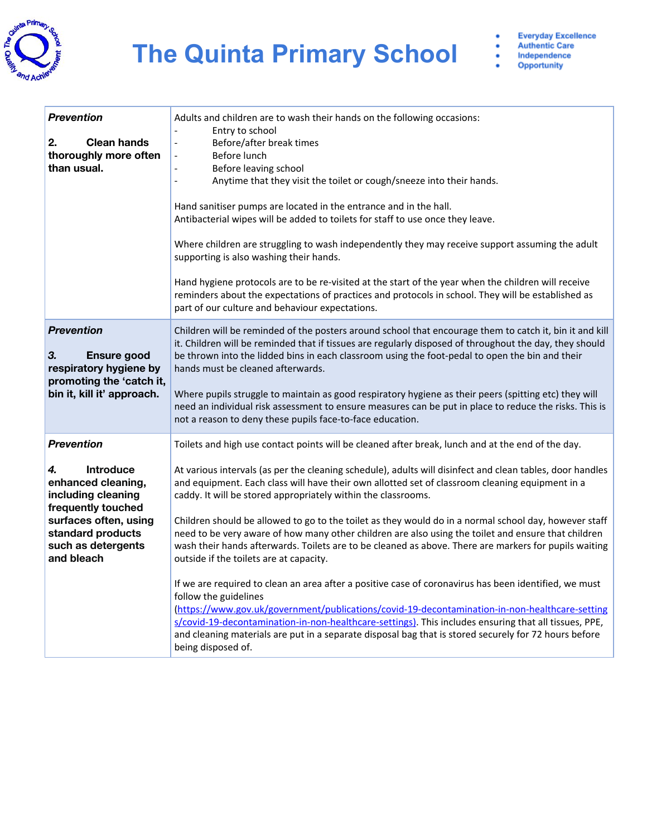

 $\vdots$ 

| <b>Prevention</b><br>2.<br><b>Clean hands</b><br>thoroughly more often<br>than usual.                                                                                                           | Adults and children are to wash their hands on the following occasions:<br>Entry to school<br>Before/after break times<br>$\overline{\phantom{0}}$<br>Before lunch<br>$\frac{1}{2}$<br>Before leaving school<br>$\blacksquare$<br>Anytime that they visit the toilet or cough/sneeze into their hands.<br>Hand sanitiser pumps are located in the entrance and in the hall.<br>Antibacterial wipes will be added to toilets for staff to use once they leave.<br>Where children are struggling to wash independently they may receive support assuming the adult<br>supporting is also washing their hands.<br>Hand hygiene protocols are to be re-visited at the start of the year when the children will receive<br>reminders about the expectations of practices and protocols in school. They will be established as<br>part of our culture and behaviour expectations.                                                                                                                                                                                                                                                                                                                                                        |
|-------------------------------------------------------------------------------------------------------------------------------------------------------------------------------------------------|------------------------------------------------------------------------------------------------------------------------------------------------------------------------------------------------------------------------------------------------------------------------------------------------------------------------------------------------------------------------------------------------------------------------------------------------------------------------------------------------------------------------------------------------------------------------------------------------------------------------------------------------------------------------------------------------------------------------------------------------------------------------------------------------------------------------------------------------------------------------------------------------------------------------------------------------------------------------------------------------------------------------------------------------------------------------------------------------------------------------------------------------------------------------------------------------------------------------------------|
| <b>Prevention</b><br>З.<br><b>Ensure good</b><br>respiratory hygiene by<br>promoting the 'catch it,<br>bin it, kill it' approach.                                                               | Children will be reminded of the posters around school that encourage them to catch it, bin it and kill<br>it. Children will be reminded that if tissues are regularly disposed of throughout the day, they should<br>be thrown into the lidded bins in each classroom using the foot-pedal to open the bin and their<br>hands must be cleaned afterwards.<br>Where pupils struggle to maintain as good respiratory hygiene as their peers (spitting etc) they will<br>need an individual risk assessment to ensure measures can be put in place to reduce the risks. This is<br>not a reason to deny these pupils face-to-face education.                                                                                                                                                                                                                                                                                                                                                                                                                                                                                                                                                                                         |
| <b>Prevention</b><br><b>Introduce</b><br>4.<br>enhanced cleaning,<br>including cleaning<br>frequently touched<br>surfaces often, using<br>standard products<br>such as detergents<br>and bleach | Toilets and high use contact points will be cleaned after break, lunch and at the end of the day.<br>At various intervals (as per the cleaning schedule), adults will disinfect and clean tables, door handles<br>and equipment. Each class will have their own allotted set of classroom cleaning equipment in a<br>caddy. It will be stored appropriately within the classrooms.<br>Children should be allowed to go to the toilet as they would do in a normal school day, however staff<br>need to be very aware of how many other children are also using the toilet and ensure that children<br>wash their hands afterwards. Toilets are to be cleaned as above. There are markers for pupils waiting<br>outside if the toilets are at capacity.<br>If we are required to clean an area after a positive case of coronavirus has been identified, we must<br>follow the guidelines<br>(https://www.gov.uk/government/publications/covid-19-decontamination-in-non-healthcare-setting<br>s/covid-19-decontamination-in-non-healthcare-settings). This includes ensuring that all tissues, PPE,<br>and cleaning materials are put in a separate disposal bag that is stored securely for 72 hours before<br>being disposed of. |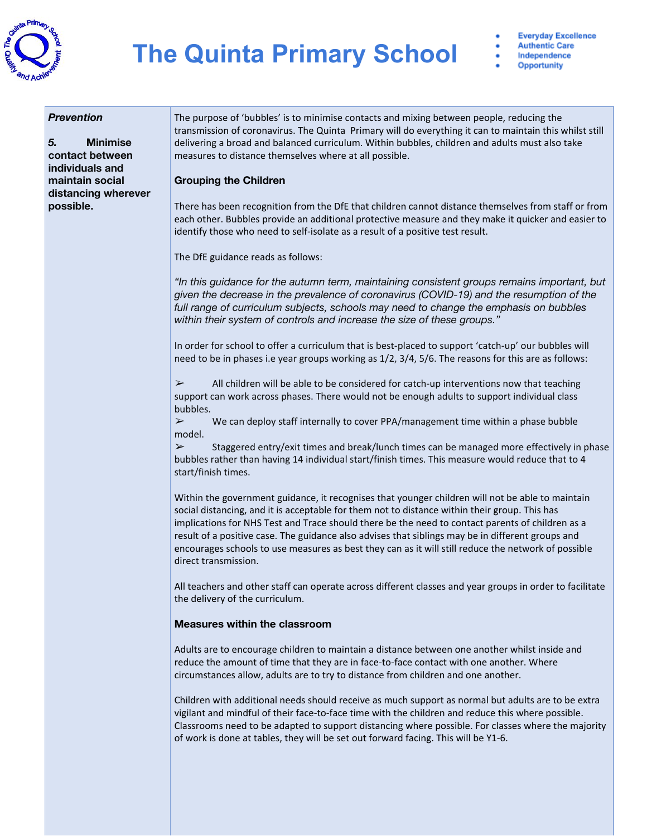

- **Everyday Excellence Authentic Care** Independence
- **Opportunity**

#### *Prevention*

*5.* **Minimise contact between individuals and maintain social distancing wherever possible.**

The purpose of 'bubbles' is to minimise contacts and mixing between people, reducing the transmission of coronavirus. The Quinta Primary will do everything it can to maintain this whilst still delivering a broad and balanced curriculum. Within bubbles, children and adults must also take measures to distance themselves where at all possible.

#### **Grouping the Children**

There has been recognition from the DfE that children cannot distance themselves from staff or from each other. Bubbles provide an additional protective measure and they make it quicker and easier to identify those who need to self-isolate as a result of a positive test result.

The DfE guidance reads as follows:

*"In this guidance for the autumn term, maintaining consistent groups remains important, but given the decrease in the prevalence of coronavirus (COVID-19) and the resumption of the full range of curriculum subjects, schools may need to change the emphasis on bubbles within their system of controls and increase the size of these groups."*

In order for school to offer a curriculum that is best-placed to support 'catch-up' our bubbles will need to be in phases i.e year groups working as 1/2, 3/4, 5/6. The reasons for this are as follows:

 $\triangleright$  All children will be able to be considered for catch-up interventions now that teaching support can work across phases. There would not be enough adults to support individual class bubbles.

 $\triangleright$  We can deploy staff internally to cover PPA/management time within a phase bubble model.

 $\triangleright$  Staggered entry/exit times and break/lunch times can be managed more effectively in phase bubbles rather than having 14 individual start/finish times. This measure would reduce that to 4 start/finish times.

Within the government guidance, it recognises that younger children will not be able to maintain social distancing, and it is acceptable for them not to distance within their group. This has implications for NHS Test and Trace should there be the need to contact parents of children as a result of a positive case. The guidance also advises that siblings may be in different groups and encourages schools to use measures as best they can as it will still reduce the network of possible direct transmission.

All teachers and other staff can operate across different classes and year groups in order to facilitate the delivery of the curriculum.

#### **Measures within the classroom**

Adults are to encourage children to maintain a distance between one another whilst inside and reduce the amount of time that they are in face-to-face contact with one another. Where circumstances allow, adults are to try to distance from children and one another.

Children with additional needs should receive as much support as normal but adults are to be extra vigilant and mindful of their face-to-face time with the children and reduce this where possible. Classrooms need to be adapted to support distancing where possible. For classes where the majority of work is done at tables, they will be set out forward facing. This will be Y1-6.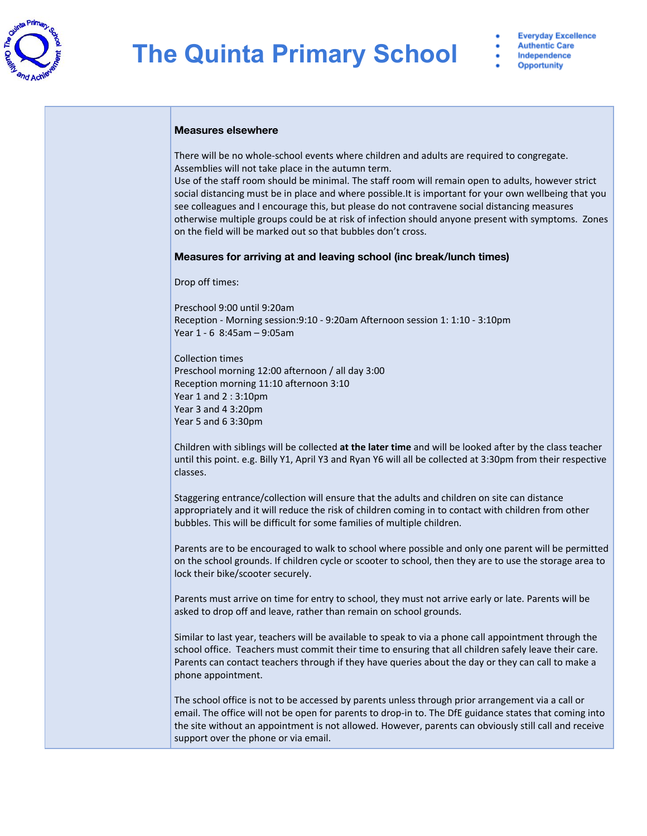

#### **Measures elsewhere**

There will be no whole-school events where children and adults are required to congregate. Assemblies will not take place in the autumn term.

Use of the staff room should be minimal. The staff room will remain open to adults, however strict social distancing must be in place and where possible.It is important for your own wellbeing that you see colleagues and I encourage this, but please do not contravene social distancing measures otherwise multiple groups could be at risk of infection should anyone present with symptoms. Zones on the field will be marked out so that bubbles don't cross.

#### **Measures for arriving at and leaving school (inc break/lunch times)**

Drop off times:

Preschool 9:00 until 9:20am Reception - Morning session:9:10 - 9:20am Afternoon session 1: 1:10 - 3:10pm Year 1 - 6 8:45am – 9:05am

Collection times Preschool morning 12:00 afternoon / all day 3:00 Reception morning 11:10 afternoon 3:10 Year 1 and 2 : 3:10pm Year 3 and 4 3:20pm Year 5 and 6 3:30pm

Children with siblings will be collected **at the later time** and will be looked after by the class teacher until this point. e.g. Billy Y1, April Y3 and Ryan Y6 will all be collected at 3:30pm from their respective classes.

Staggering entrance/collection will ensure that the adults and children on site can distance appropriately and it will reduce the risk of children coming in to contact with children from other bubbles. This will be difficult for some families of multiple children.

Parents are to be encouraged to walk to school where possible and only one parent will be permitted on the school grounds. If children cycle or scooter to school, then they are to use the storage area to lock their bike/scooter securely.

Parents must arrive on time for entry to school, they must not arrive early or late. Parents will be asked to drop off and leave, rather than remain on school grounds.

Similar to last year, teachers will be available to speak to via a phone call appointment through the school office. Teachers must commit their time to ensuring that all children safely leave their care. Parents can contact teachers through if they have queries about the day or they can call to make a phone appointment.

The school office is not to be accessed by parents unless through prior arrangement via a call or email. The office will not be open for parents to drop-in to. The DfE guidance states that coming into the site without an appointment is not allowed. However, parents can obviously still call and receive support over the phone or via email.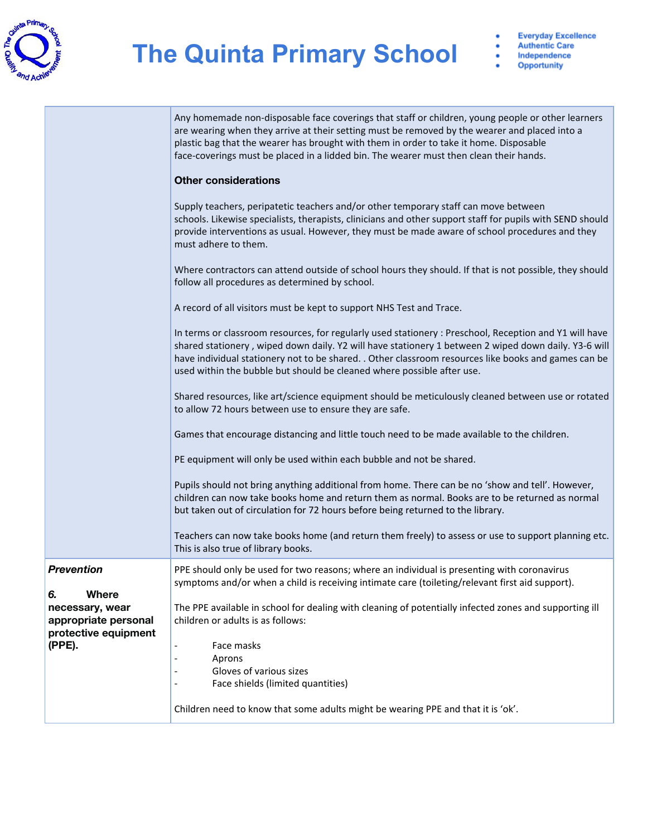

Opportunity

|                                                                                          | Any homemade non-disposable face coverings that staff or children, young people or other learners<br>are wearing when they arrive at their setting must be removed by the wearer and placed into a<br>plastic bag that the wearer has brought with them in order to take it home. Disposable<br>face-coverings must be placed in a lidded bin. The wearer must then clean their hands.<br><b>Other considerations</b> |
|------------------------------------------------------------------------------------------|-----------------------------------------------------------------------------------------------------------------------------------------------------------------------------------------------------------------------------------------------------------------------------------------------------------------------------------------------------------------------------------------------------------------------|
|                                                                                          | Supply teachers, peripatetic teachers and/or other temporary staff can move between<br>schools. Likewise specialists, therapists, clinicians and other support staff for pupils with SEND should<br>provide interventions as usual. However, they must be made aware of school procedures and they<br>must adhere to them.                                                                                            |
|                                                                                          | Where contractors can attend outside of school hours they should. If that is not possible, they should<br>follow all procedures as determined by school.                                                                                                                                                                                                                                                              |
|                                                                                          | A record of all visitors must be kept to support NHS Test and Trace.                                                                                                                                                                                                                                                                                                                                                  |
|                                                                                          | In terms or classroom resources, for regularly used stationery : Preschool, Reception and Y1 will have<br>shared stationery, wiped down daily. Y2 will have stationery 1 between 2 wiped down daily. Y3-6 will<br>have individual stationery not to be shared. . Other classroom resources like books and games can be<br>used within the bubble but should be cleaned where possible after use.                      |
|                                                                                          | Shared resources, like art/science equipment should be meticulously cleaned between use or rotated<br>to allow 72 hours between use to ensure they are safe.                                                                                                                                                                                                                                                          |
|                                                                                          | Games that encourage distancing and little touch need to be made available to the children.                                                                                                                                                                                                                                                                                                                           |
|                                                                                          | PE equipment will only be used within each bubble and not be shared.                                                                                                                                                                                                                                                                                                                                                  |
|                                                                                          | Pupils should not bring anything additional from home. There can be no 'show and tell'. However,<br>children can now take books home and return them as normal. Books are to be returned as normal<br>but taken out of circulation for 72 hours before being returned to the library.                                                                                                                                 |
|                                                                                          | Teachers can now take books home (and return them freely) to assess or use to support planning etc.<br>This is also true of library books.                                                                                                                                                                                                                                                                            |
| <b>Prevention</b>                                                                        | PPE should only be used for two reasons; where an individual is presenting with coronavirus<br>symptoms and/or when a child is receiving intimate care (toileting/relevant first aid support).                                                                                                                                                                                                                        |
| 6.<br>Where<br>necessary, wear<br>appropriate personal<br>protective equipment<br>(PPE). | The PPE available in school for dealing with cleaning of potentially infected zones and supporting ill<br>children or adults is as follows:                                                                                                                                                                                                                                                                           |
|                                                                                          | Face masks<br>$\overline{\phantom{a}}$<br>Aprons                                                                                                                                                                                                                                                                                                                                                                      |
|                                                                                          | Gloves of various sizes                                                                                                                                                                                                                                                                                                                                                                                               |
|                                                                                          | Face shields (limited quantities)                                                                                                                                                                                                                                                                                                                                                                                     |
|                                                                                          | Children need to know that some adults might be wearing PPE and that it is 'ok'.                                                                                                                                                                                                                                                                                                                                      |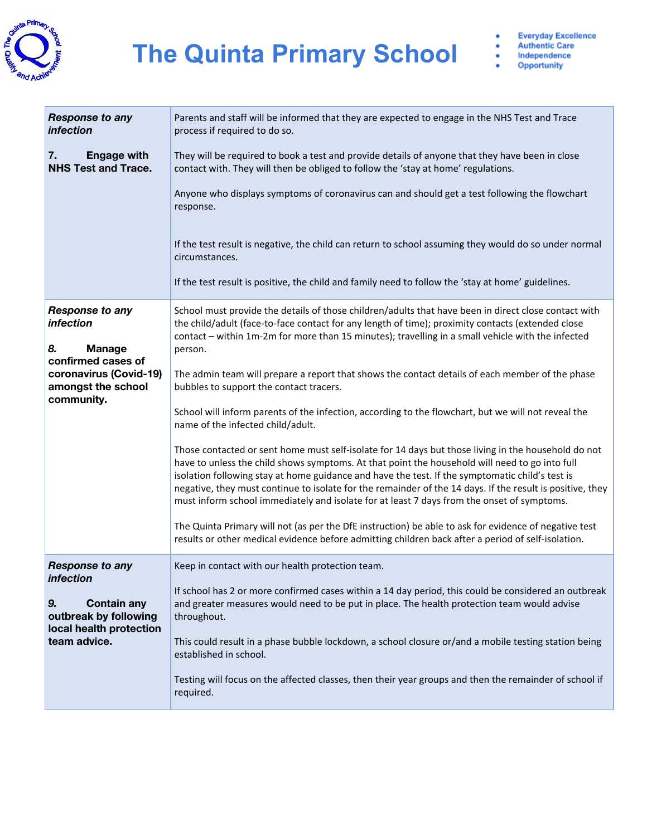

| <b>Response to any</b><br><i>infection</i>             | Parents and staff will be informed that they are expected to engage in the NHS Test and Trace<br>process if required to do so.                                                                                                                                                                                                                                                                                                                                                                                      |
|--------------------------------------------------------|---------------------------------------------------------------------------------------------------------------------------------------------------------------------------------------------------------------------------------------------------------------------------------------------------------------------------------------------------------------------------------------------------------------------------------------------------------------------------------------------------------------------|
| <b>Engage with</b><br>7.<br><b>NHS Test and Trace.</b> | They will be required to book a test and provide details of anyone that they have been in close<br>contact with. They will then be obliged to follow the 'stay at home' regulations.                                                                                                                                                                                                                                                                                                                                |
|                                                        | Anyone who displays symptoms of coronavirus can and should get a test following the flowchart<br>response.                                                                                                                                                                                                                                                                                                                                                                                                          |
|                                                        | If the test result is negative, the child can return to school assuming they would do so under normal<br>circumstances.                                                                                                                                                                                                                                                                                                                                                                                             |
|                                                        | If the test result is positive, the child and family need to follow the 'stay at home' guidelines.                                                                                                                                                                                                                                                                                                                                                                                                                  |
| <b>Response to any</b><br><i>infection</i>             | School must provide the details of those children/adults that have been in direct close contact with<br>the child/adult (face-to-face contact for any length of time); proximity contacts (extended close<br>contact - within 1m-2m for more than 15 minutes); travelling in a small vehicle with the infected                                                                                                                                                                                                      |
| 8.<br><b>Manage</b><br>confirmed cases of              | person.                                                                                                                                                                                                                                                                                                                                                                                                                                                                                                             |
| coronavirus (Covid-19)                                 | The admin team will prepare a report that shows the contact details of each member of the phase                                                                                                                                                                                                                                                                                                                                                                                                                     |
| amongst the school                                     | bubbles to support the contact tracers.                                                                                                                                                                                                                                                                                                                                                                                                                                                                             |
| community.                                             | School will inform parents of the infection, according to the flowchart, but we will not reveal the<br>name of the infected child/adult.                                                                                                                                                                                                                                                                                                                                                                            |
|                                                        | Those contacted or sent home must self-isolate for 14 days but those living in the household do not<br>have to unless the child shows symptoms. At that point the household will need to go into full<br>isolation following stay at home guidance and have the test. If the symptomatic child's test is<br>negative, they must continue to isolate for the remainder of the 14 days. If the result is positive, they<br>must inform school immediately and isolate for at least 7 days from the onset of symptoms. |
|                                                        | The Quinta Primary will not (as per the DfE instruction) be able to ask for evidence of negative test<br>results or other medical evidence before admitting children back after a period of self-isolation.                                                                                                                                                                                                                                                                                                         |
| <b>Response to any</b><br><i>infection</i>             | Keep in contact with our health protection team.                                                                                                                                                                                                                                                                                                                                                                                                                                                                    |
|                                                        | If school has 2 or more confirmed cases within a 14 day period, this could be considered an outbreak                                                                                                                                                                                                                                                                                                                                                                                                                |
| 9.<br><b>Contain any</b><br>outbreak by following      | and greater measures would need to be put in place. The health protection team would advise<br>throughout.                                                                                                                                                                                                                                                                                                                                                                                                          |
| local health protection                                |                                                                                                                                                                                                                                                                                                                                                                                                                                                                                                                     |
| team advice.                                           | This could result in a phase bubble lockdown, a school closure or/and a mobile testing station being<br>established in school.                                                                                                                                                                                                                                                                                                                                                                                      |
|                                                        | Testing will focus on the affected classes, then their year groups and then the remainder of school if<br>required.                                                                                                                                                                                                                                                                                                                                                                                                 |
|                                                        |                                                                                                                                                                                                                                                                                                                                                                                                                                                                                                                     |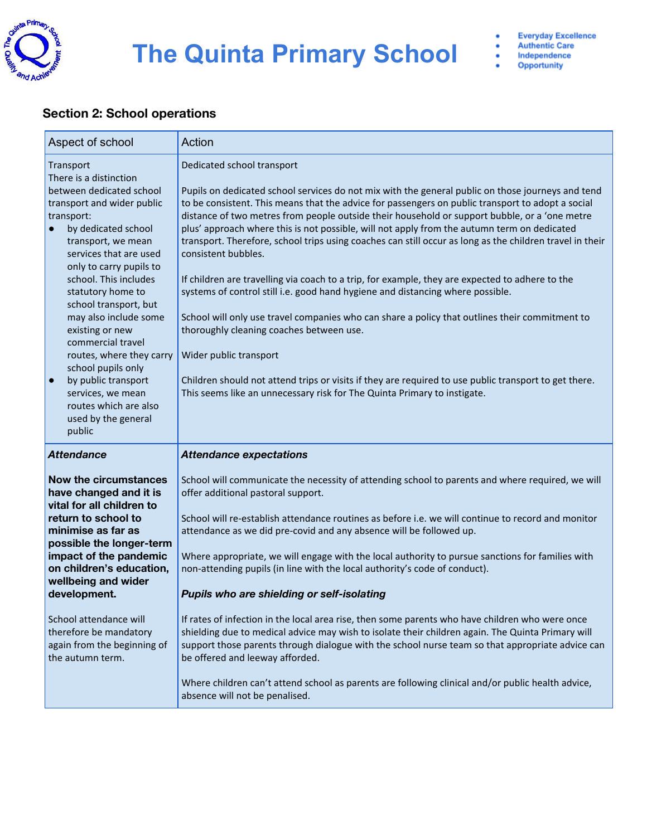

#### **Section 2: School operations**

| Aspect of school                                                                                                                                                                                                                                                                                                                                                                                                                                                                                                           | Action                                                                                                                                                                                                                                                                                                                                                                                                                                                                                                                                                                                                                                                                                                                                                                                                                                                                                                                                                                                                                                                                                                                    |
|----------------------------------------------------------------------------------------------------------------------------------------------------------------------------------------------------------------------------------------------------------------------------------------------------------------------------------------------------------------------------------------------------------------------------------------------------------------------------------------------------------------------------|---------------------------------------------------------------------------------------------------------------------------------------------------------------------------------------------------------------------------------------------------------------------------------------------------------------------------------------------------------------------------------------------------------------------------------------------------------------------------------------------------------------------------------------------------------------------------------------------------------------------------------------------------------------------------------------------------------------------------------------------------------------------------------------------------------------------------------------------------------------------------------------------------------------------------------------------------------------------------------------------------------------------------------------------------------------------------------------------------------------------------|
| Transport<br>There is a distinction<br>between dedicated school<br>transport and wider public<br>transport:<br>by dedicated school<br>transport, we mean<br>services that are used<br>only to carry pupils to<br>school. This includes<br>statutory home to<br>school transport, but<br>may also include some<br>existing or new<br>commercial travel<br>routes, where they carry<br>school pupils only<br>by public transport<br>$\bullet$<br>services, we mean<br>routes which are also<br>used by the general<br>public | Dedicated school transport<br>Pupils on dedicated school services do not mix with the general public on those journeys and tend<br>to be consistent. This means that the advice for passengers on public transport to adopt a social<br>distance of two metres from people outside their household or support bubble, or a 'one metre<br>plus' approach where this is not possible, will not apply from the autumn term on dedicated<br>transport. Therefore, school trips using coaches can still occur as long as the children travel in their<br>consistent bubbles.<br>If children are travelling via coach to a trip, for example, they are expected to adhere to the<br>systems of control still i.e. good hand hygiene and distancing where possible.<br>School will only use travel companies who can share a policy that outlines their commitment to<br>thoroughly cleaning coaches between use.<br>Wider public transport<br>Children should not attend trips or visits if they are required to use public transport to get there.<br>This seems like an unnecessary risk for The Quinta Primary to instigate. |
| <b>Attendance</b><br>Now the circumstances<br>have changed and it is<br>vital for all children to<br>return to school to<br>minimise as far as<br>possible the longer-term<br>impact of the pandemic<br>on children's education,<br>wellbeing and wider<br>development.<br>School attendance will<br>therefore be mandatory<br>again from the beginning of<br>the autumn term.                                                                                                                                             | <b>Attendance expectations</b><br>School will communicate the necessity of attending school to parents and where required, we will<br>offer additional pastoral support.<br>School will re-establish attendance routines as before i.e. we will continue to record and monitor<br>attendance as we did pre-covid and any absence will be followed up.<br>Where appropriate, we will engage with the local authority to pursue sanctions for families with<br>non-attending pupils (in line with the local authority's code of conduct).<br>Pupils who are shielding or self-isolating<br>If rates of infection in the local area rise, then some parents who have children who were once<br>shielding due to medical advice may wish to isolate their children again. The Quinta Primary will<br>support those parents through dialogue with the school nurse team so that appropriate advice can<br>be offered and leeway afforded.<br>Where children can't attend school as parents are following clinical and/or public health advice,<br>absence will not be penalised.                                               |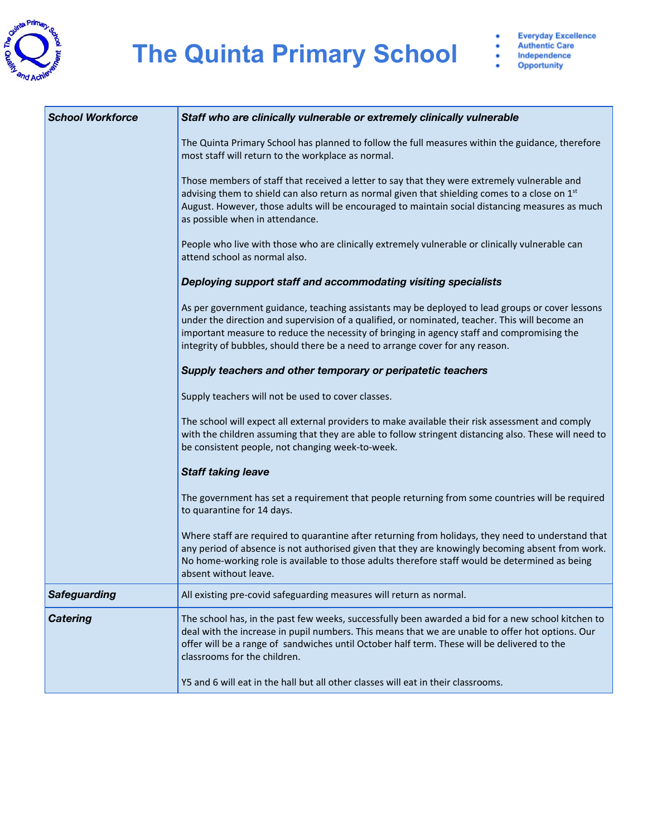

| <b>School Workforce</b> | Staff who are clinically vulnerable or extremely clinically vulnerable                                                                                                                                                                                                                                                                                                           |
|-------------------------|----------------------------------------------------------------------------------------------------------------------------------------------------------------------------------------------------------------------------------------------------------------------------------------------------------------------------------------------------------------------------------|
|                         | The Quinta Primary School has planned to follow the full measures within the guidance, therefore<br>most staff will return to the workplace as normal.                                                                                                                                                                                                                           |
|                         | Those members of staff that received a letter to say that they were extremely vulnerable and<br>advising them to shield can also return as normal given that shielding comes to a close on 1 <sup>st</sup><br>August. However, those adults will be encouraged to maintain social distancing measures as much<br>as possible when in attendance.                                 |
|                         | People who live with those who are clinically extremely vulnerable or clinically vulnerable can<br>attend school as normal also.                                                                                                                                                                                                                                                 |
|                         | Deploying support staff and accommodating visiting specialists                                                                                                                                                                                                                                                                                                                   |
|                         | As per government guidance, teaching assistants may be deployed to lead groups or cover lessons<br>under the direction and supervision of a qualified, or nominated, teacher. This will become an<br>important measure to reduce the necessity of bringing in agency staff and compromising the<br>integrity of bubbles, should there be a need to arrange cover for any reason. |
|                         | Supply teachers and other temporary or peripatetic teachers                                                                                                                                                                                                                                                                                                                      |
|                         | Supply teachers will not be used to cover classes.                                                                                                                                                                                                                                                                                                                               |
|                         | The school will expect all external providers to make available their risk assessment and comply<br>with the children assuming that they are able to follow stringent distancing also. These will need to<br>be consistent people, not changing week-to-week.                                                                                                                    |
|                         | <b>Staff taking leave</b>                                                                                                                                                                                                                                                                                                                                                        |
|                         | The government has set a requirement that people returning from some countries will be required<br>to quarantine for 14 days.                                                                                                                                                                                                                                                    |
|                         | Where staff are required to quarantine after returning from holidays, they need to understand that<br>any period of absence is not authorised given that they are knowingly becoming absent from work.<br>No home-working role is available to those adults therefore staff would be determined as being<br>absent without leave.                                                |
| <b>Safeguarding</b>     | All existing pre-covid safeguarding measures will return as normal.                                                                                                                                                                                                                                                                                                              |
| <b>Catering</b>         | The school has, in the past few weeks, successfully been awarded a bid for a new school kitchen to<br>deal with the increase in pupil numbers. This means that we are unable to offer hot options. Our<br>offer will be a range of sandwiches until October half term. These will be delivered to the<br>classrooms for the children.                                            |
|                         | Y5 and 6 will eat in the hall but all other classes will eat in their classrooms.                                                                                                                                                                                                                                                                                                |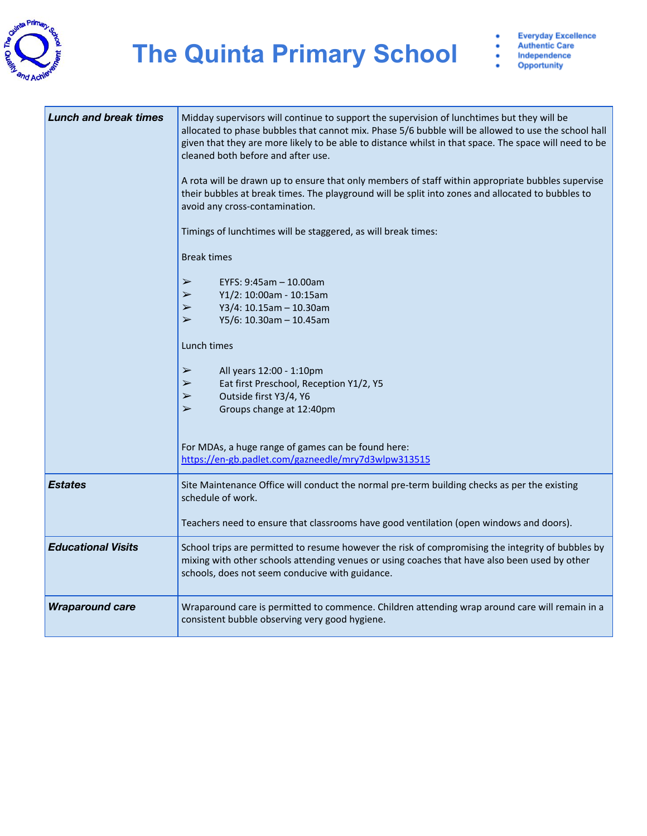

#### **The Quinta Primary School**  $\frac{1}{2}$

**Everyday Excellence Authentic Care** Independence

Opportunity

| <b>Lunch and break times</b> | Midday supervisors will continue to support the supervision of lunchtimes but they will be<br>allocated to phase bubbles that cannot mix. Phase 5/6 bubble will be allowed to use the school hall<br>given that they are more likely to be able to distance whilst in that space. The space will need to be<br>cleaned both before and after use.<br>A rota will be drawn up to ensure that only members of staff within appropriate bubbles supervise<br>their bubbles at break times. The playground will be split into zones and allocated to bubbles to<br>avoid any cross-contamination.<br>Timings of lunchtimes will be staggered, as will break times:<br><b>Break times</b><br>EYFS: 9:45am - 10.00am<br>$\blacktriangleright$<br>Y1/2: 10:00am - 10:15am<br>$\blacktriangleright$<br>Y3/4: 10.15am - 10.30am<br>$\blacktriangleright$<br>Y5/6: 10.30am - 10.45am<br>$\blacktriangleright$<br>Lunch times<br>$\blacktriangleright$<br>All years 12:00 - 1:10pm<br>Eat first Preschool, Reception Y1/2, Y5<br>➤<br>Outside first Y3/4, Y6<br>$\blacktriangleright$<br>Groups change at 12:40pm<br>$\blacktriangleright$<br>For MDAs, a huge range of games can be found here:<br>https://en-gb.padlet.com/gazneedle/mry7d3wlpw313515 |
|------------------------------|----------------------------------------------------------------------------------------------------------------------------------------------------------------------------------------------------------------------------------------------------------------------------------------------------------------------------------------------------------------------------------------------------------------------------------------------------------------------------------------------------------------------------------------------------------------------------------------------------------------------------------------------------------------------------------------------------------------------------------------------------------------------------------------------------------------------------------------------------------------------------------------------------------------------------------------------------------------------------------------------------------------------------------------------------------------------------------------------------------------------------------------------------------------------------------------------------------------------------------------------|
| <b>Estates</b>               | Site Maintenance Office will conduct the normal pre-term building checks as per the existing                                                                                                                                                                                                                                                                                                                                                                                                                                                                                                                                                                                                                                                                                                                                                                                                                                                                                                                                                                                                                                                                                                                                                 |
|                              | schedule of work.<br>Teachers need to ensure that classrooms have good ventilation (open windows and doors).                                                                                                                                                                                                                                                                                                                                                                                                                                                                                                                                                                                                                                                                                                                                                                                                                                                                                                                                                                                                                                                                                                                                 |
| <b>Educational Visits</b>    | School trips are permitted to resume however the risk of compromising the integrity of bubbles by<br>mixing with other schools attending venues or using coaches that have also been used by other<br>schools, does not seem conducive with guidance.                                                                                                                                                                                                                                                                                                                                                                                                                                                                                                                                                                                                                                                                                                                                                                                                                                                                                                                                                                                        |
| <b>Wraparound care</b>       | Wraparound care is permitted to commence. Children attending wrap around care will remain in a<br>consistent bubble observing very good hygiene.                                                                                                                                                                                                                                                                                                                                                                                                                                                                                                                                                                                                                                                                                                                                                                                                                                                                                                                                                                                                                                                                                             |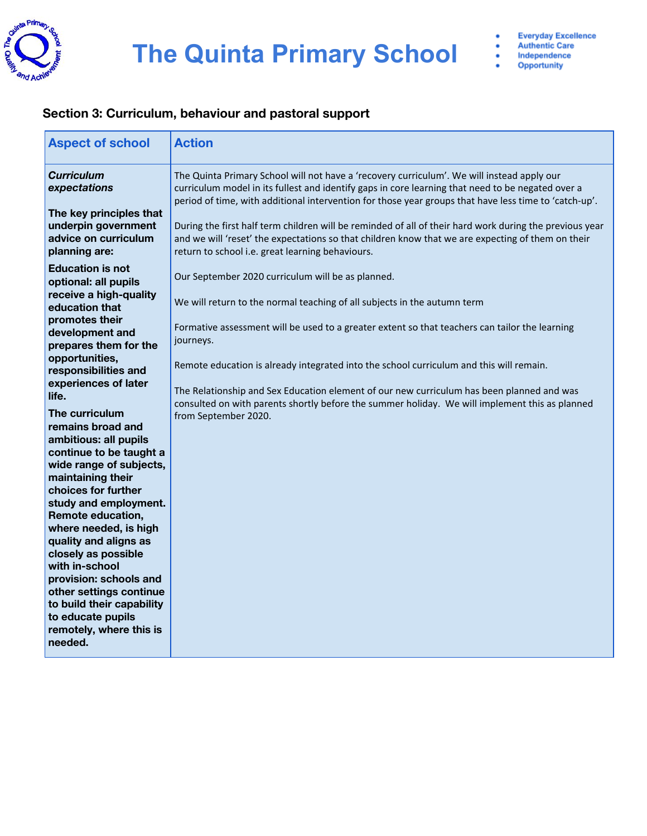

#### **Section 3: Curriculum, behaviour and pastoral support**

| <b>Aspect of school</b>                                                                                                                                                                                                                                                                                                                                   | <b>Action</b>                                                                                                                                                                                                                                                                                                                                                                                                                                                                                                                                                                                                      |
|-----------------------------------------------------------------------------------------------------------------------------------------------------------------------------------------------------------------------------------------------------------------------------------------------------------------------------------------------------------|--------------------------------------------------------------------------------------------------------------------------------------------------------------------------------------------------------------------------------------------------------------------------------------------------------------------------------------------------------------------------------------------------------------------------------------------------------------------------------------------------------------------------------------------------------------------------------------------------------------------|
| <b>Curriculum</b><br>expectations<br>The key principles that<br>underpin government<br>advice on curriculum                                                                                                                                                                                                                                               | The Quinta Primary School will not have a 'recovery curriculum'. We will instead apply our<br>curriculum model in its fullest and identify gaps in core learning that need to be negated over a<br>period of time, with additional intervention for those year groups that have less time to 'catch-up'.<br>During the first half term children will be reminded of all of their hard work during the previous year<br>and we will 'reset' the expectations so that children know that we are expecting of them on their                                                                                           |
| planning are:<br><b>Education is not</b><br>optional: all pupils<br>receive a high-quality<br>education that<br>promotes their<br>development and<br>prepares them for the<br>opportunities,<br>responsibilities and<br>experiences of later<br>life.<br>The curriculum<br>remains broad and<br>ambitious: all pupils<br>continue to be taught a          | return to school i.e. great learning behaviours.<br>Our September 2020 curriculum will be as planned.<br>We will return to the normal teaching of all subjects in the autumn term<br>Formative assessment will be used to a greater extent so that teachers can tailor the learning<br>journeys.<br>Remote education is already integrated into the school curriculum and this will remain.<br>The Relationship and Sex Education element of our new curriculum has been planned and was<br>consulted on with parents shortly before the summer holiday. We will implement this as planned<br>from September 2020. |
| wide range of subjects,<br>maintaining their<br>choices for further<br>study and employment.<br>Remote education,<br>where needed, is high<br>quality and aligns as<br>closely as possible<br>with in-school<br>provision: schools and<br>other settings continue<br>to build their capability<br>to educate pupils<br>remotely, where this is<br>needed. |                                                                                                                                                                                                                                                                                                                                                                                                                                                                                                                                                                                                                    |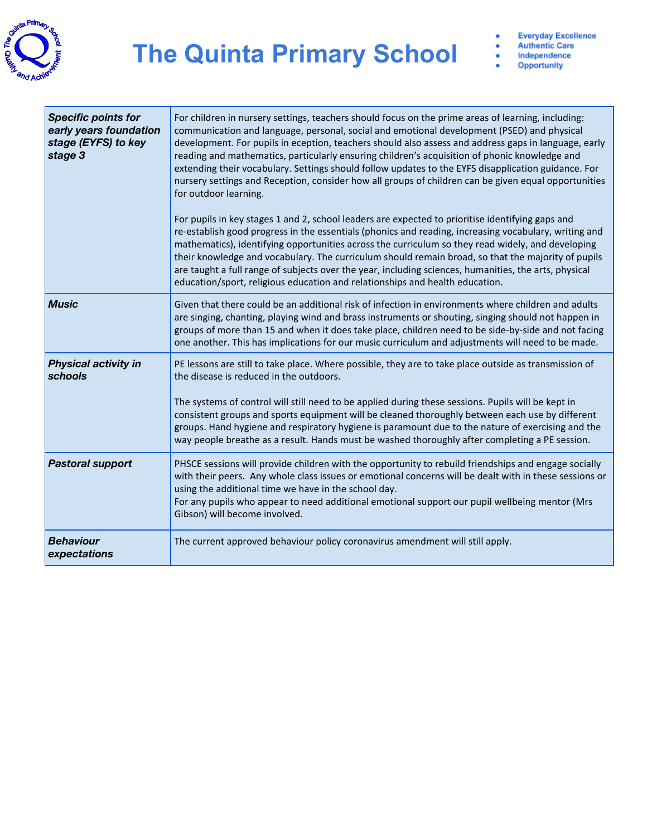

Opportunity

| <b>Specific points for</b><br>early years foundation<br>stage (EYFS) to key<br>stage 3 | For children in nursery settings, teachers should focus on the prime areas of learning, including:<br>communication and language, personal, social and emotional development (PSED) and physical<br>development. For pupils in eception, teachers should also assess and address gaps in language, early<br>reading and mathematics, particularly ensuring children's acquisition of phonic knowledge and<br>extending their vocabulary. Settings should follow updates to the EYFS disapplication guidance. For<br>nursery settings and Reception, consider how all groups of children can be given equal opportunities<br>for outdoor learning.<br>For pupils in key stages 1 and 2, school leaders are expected to prioritise identifying gaps and<br>re-establish good progress in the essentials (phonics and reading, increasing vocabulary, writing and<br>mathematics), identifying opportunities across the curriculum so they read widely, and developing<br>their knowledge and vocabulary. The curriculum should remain broad, so that the majority of pupils<br>are taught a full range of subjects over the year, including sciences, humanities, the arts, physical<br>education/sport, religious education and relationships and health education. |
|----------------------------------------------------------------------------------------|--------------------------------------------------------------------------------------------------------------------------------------------------------------------------------------------------------------------------------------------------------------------------------------------------------------------------------------------------------------------------------------------------------------------------------------------------------------------------------------------------------------------------------------------------------------------------------------------------------------------------------------------------------------------------------------------------------------------------------------------------------------------------------------------------------------------------------------------------------------------------------------------------------------------------------------------------------------------------------------------------------------------------------------------------------------------------------------------------------------------------------------------------------------------------------------------------------------------------------------------------------------------|
| <b>Music</b>                                                                           | Given that there could be an additional risk of infection in environments where children and adults<br>are singing, chanting, playing wind and brass instruments or shouting, singing should not happen in<br>groups of more than 15 and when it does take place, children need to be side-by-side and not facing<br>one another. This has implications for our music curriculum and adjustments will need to be made.                                                                                                                                                                                                                                                                                                                                                                                                                                                                                                                                                                                                                                                                                                                                                                                                                                             |
| <b>Physical activity in</b><br>schools                                                 | PE lessons are still to take place. Where possible, they are to take place outside as transmission of<br>the disease is reduced in the outdoors.<br>The systems of control will still need to be applied during these sessions. Pupils will be kept in<br>consistent groups and sports equipment will be cleaned thoroughly between each use by different<br>groups. Hand hygiene and respiratory hygiene is paramount due to the nature of exercising and the<br>way people breathe as a result. Hands must be washed thoroughly after completing a PE session.                                                                                                                                                                                                                                                                                                                                                                                                                                                                                                                                                                                                                                                                                                   |
| <b>Pastoral support</b>                                                                | PHSCE sessions will provide children with the opportunity to rebuild friendships and engage socially<br>with their peers. Any whole class issues or emotional concerns will be dealt with in these sessions or<br>using the additional time we have in the school day.<br>For any pupils who appear to need additional emotional support our pupil wellbeing mentor (Mrs<br>Gibson) will become involved.                                                                                                                                                                                                                                                                                                                                                                                                                                                                                                                                                                                                                                                                                                                                                                                                                                                          |
| <b>Behaviour</b><br>expectations                                                       | The current approved behaviour policy coronavirus amendment will still apply.                                                                                                                                                                                                                                                                                                                                                                                                                                                                                                                                                                                                                                                                                                                                                                                                                                                                                                                                                                                                                                                                                                                                                                                      |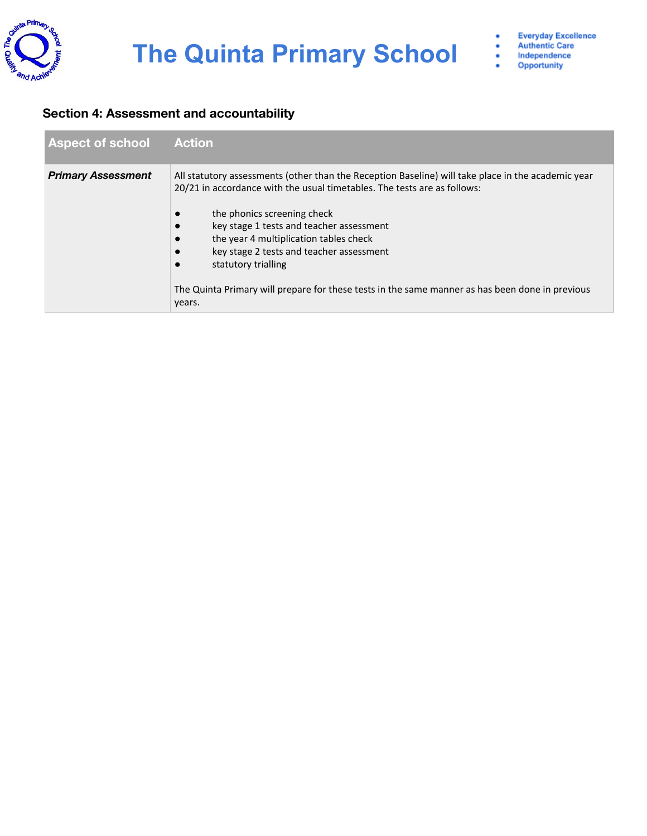

#### **Section 4: Assessment and accountability**

| <b>Aspect of school</b>   | Action <sup>1</sup>                                                                                                                                                                                                                                                                                                                                                                                                                                                                 |
|---------------------------|-------------------------------------------------------------------------------------------------------------------------------------------------------------------------------------------------------------------------------------------------------------------------------------------------------------------------------------------------------------------------------------------------------------------------------------------------------------------------------------|
| <b>Primary Assessment</b> | All statutory assessments (other than the Reception Baseline) will take place in the academic year<br>20/21 in accordance with the usual timetables. The tests are as follows:<br>the phonics screening check<br>key stage 1 tests and teacher assessment<br>the year 4 multiplication tables check<br>key stage 2 tests and teacher assessment<br>statutory trialling<br>The Quinta Primary will prepare for these tests in the same manner as has been done in previous<br>years. |